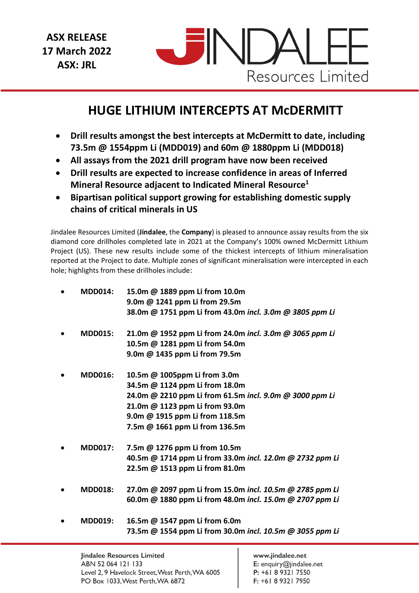

# **HUGE LITHIUM INTERCEPTS AT McDERMITT**

- **Drill results amongst the best intercepts at McDermitt to date, including 73.5m @ 1554ppm Li (MDD019) and 60m @ 1880ppm Li (MDD018)**
- **All assays from the 2021 drill program have now been received**
- **Drill results are expected to increase confidence in areas of Inferred Mineral Resource adjacent to Indicated Mineral Resource<sup>1</sup>**
- **Bipartisan political support growing for establishing domestic supply chains of critical minerals in US**

Jindalee Resources Limited (**Jindalee**, the **Company**) is pleased to announce assay results from the six diamond core drillholes completed late in 2021 at the Company's 100% owned McDermitt Lithium Project (US). These new results include some of the thickest intercepts of lithium mineralisation reported at the Project to date. Multiple zones of significant mineralisation were intercepted in each hole; highlights from these drillholes include:

| <b>MDD014:</b> | 15.0m @ 1889 ppm Li from 10.0m<br>9.0m @ 1241 ppm Li from 29.5m                           |
|----------------|-------------------------------------------------------------------------------------------|
|                | 38.0m @ 1751 ppm Li from 43.0m incl. 3.0m @ 3805 ppm Li                                   |
| <b>MDD015:</b> | 21.0m @ 1952 ppm Li from 24.0m incl. 3.0m @ 3065 ppm Li<br>10.5m @ 1281 ppm Li from 54.0m |
|                | 9.0m @ 1435 ppm Li from 79.5m                                                             |
| <b>MDD016:</b> | 10.5m @ 1005ppm Li from 3.0m                                                              |
|                | 34.5m @ 1124 ppm Li from 18.0m                                                            |
|                | 24.0m @ 2210 ppm Li from 61.5m incl. 9.0m @ 3000 ppm Li                                   |
|                | 21.0m @ 1123 ppm Li from 93.0m                                                            |
|                | 9.0m @ 1915 ppm Li from 118.5m                                                            |
|                | 7.5m @ 1661 ppm Li from 136.5m                                                            |
| <b>MDD017:</b> | 7.5m @ 1276 ppm Li from 10.5m                                                             |
|                | 40.5m @ 1714 ppm Li from 33.0m incl. 12.0m @ 2732 ppm Li                                  |
|                | 22.5m @ 1513 ppm Li from 81.0m                                                            |
| <b>MDD018:</b> | 27.0m @ 2097 ppm Li from 15.0m incl. 10.5m @ 2785 ppm Li                                  |
|                | 60.0m @ 1880 ppm Li from 48.0m incl. 15.0m @ 2707 ppm Li                                  |
| MDD010.        | 16 Em @ 1547 nnm Lifrom 6 Om                                                              |

• **MDD019: 16.5m @ 1547 ppm Li from 6.0m 73.5m @ 1554 ppm Li from 30.0m** *incl. 10.5m @ 3055 ppm Li*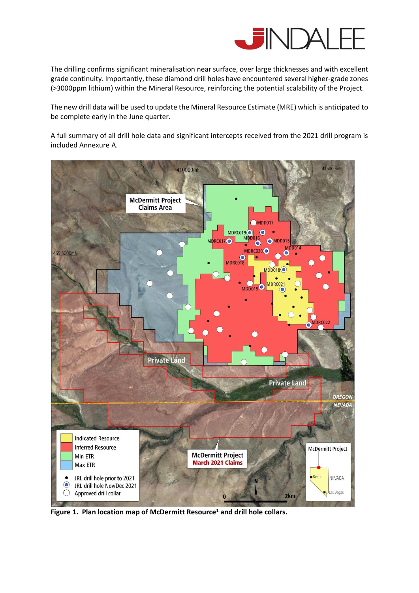

The drilling confirms significant mineralisation near surface, over large thicknesses and with excellent grade continuity. Importantly, these diamond drill holes have encountered several higher-grade zones (>3000ppm lithium) within the Mineral Resource, reinforcing the potential scalability of the Project.

The new drill data will be used to update the Mineral Resource Estimate (MRE) which is anticipated to be complete early in the June quarter.

A full summary of all drill hole data and significant intercepts received from the 2021 drill program is included Annexure A.



**Figure 1. Plan location map of McDermitt Resource<sup>1</sup> and drill hole collars.**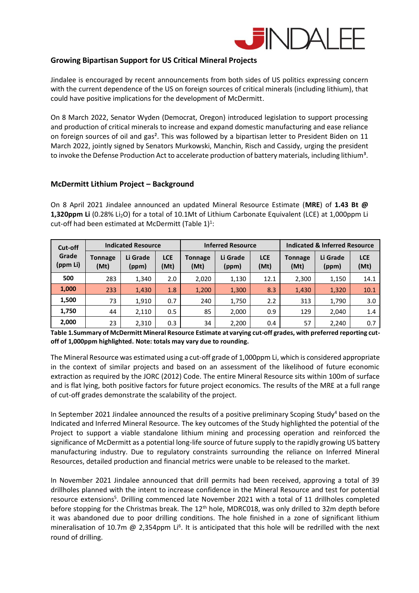

## **Growing Bipartisan Support for US Critical Mineral Projects**

Jindalee is encouraged by recent announcements from both sides of US politics expressing concern with the current dependence of the US on foreign sources of critical minerals (including lithium), that could have positive implications for the development of McDermitt.

On 8 March 2022, Senator Wyden (Democrat, Oregon) introduced legislation to support processing and production of critical minerals to increase and expand domestic manufacturing and ease reliance on foreign sources of oil and gas<sup>2</sup>. This was followed by a bipartisan letter to President Biden on 11 March 2022, jointly signed by Senators Murkowski, Manchin, Risch and Cassidy, urging the president to invoke the Defense Production Act to accelerate production of battery materials, including lithium<sup>3</sup>.

### **McDermitt Lithium Project – Background**

On 8 April 2021 Jindalee announced an updated Mineral Resource Estimate (**MRE**) of **1.43 Bt @ 1,320ppm Li** (0.28% Li<sub>2</sub>O) for a total of 10.1Mt of Lithium Carbonate Equivalent (LCE) at 1,000ppm Li cut-off had been estimated at McDermitt (Table  $1$ )<sup>1</sup>:

| Cut-off           |                        | <b>Indicated Resource</b> |                    |                        | <b>Inferred Resource</b> |                    | <b>Indicated &amp; Inferred Resource</b> |                   |                    |
|-------------------|------------------------|---------------------------|--------------------|------------------------|--------------------------|--------------------|------------------------------------------|-------------------|--------------------|
| Grade<br>(ppm Li) | <b>Tonnage</b><br>(Mt) | Li Grade<br>(ppm)         | <b>LCE</b><br>(Mt) | <b>Tonnage</b><br>(Mt) | Li Grade<br>(ppm)        | <b>LCE</b><br>(Mt) | <b>Tonnage</b><br>(Mt)                   | Li Grade<br>(ppm) | <b>LCE</b><br>(Mt) |
| 500               | 283                    | 1,340                     | 2.0                | 2,020                  | 1,130                    | 12.1               | 2,300                                    | 1,150             | 14.1               |
| 1,000             | 233                    | 1,430                     | 1.8                | 1,200                  | 1,300                    | 8.3                | 1,430                                    | 1,320             | 10.1               |
| 1,500             | 73                     | 1,910                     | 0.7                | 240                    | 1,750                    | 2.2                | 313                                      | 1,790             | 3.0                |
| 1,750             | 44                     | 2,110                     | 0.5                | 85                     | 2,000                    | 0.9                | 129                                      | 2,040             | 1.4                |
| 2,000             | 23                     | 2,310                     | 0.3                | 34                     | 2,200                    | 0.4                | 57                                       | 2,240             | 0.7                |

**Table 1.Summary of McDermitt Mineral Resource Estimate at varying cut-off grades, with preferred reporting cutoff of 1,000ppm highlighted. Note: totals may vary due to rounding.**

The Mineral Resource was estimated using a cut-off grade of 1,000ppm Li, which is considered appropriate in the context of similar projects and based on an assessment of the likelihood of future economic extraction as required by the JORC (2012) Code. The entire Mineral Resource sits within 100m of surface and is flat lying, both positive factors for future project economics. The results of the MRE at a full range of cut-off grades demonstrate the scalability of the project.

In September 2021 Jindalee announced the results of a positive preliminary Scoping Study<sup>4</sup> based on the Indicated and Inferred Mineral Resource. The key outcomes of the Study highlighted the potential of the Project to support a viable standalone lithium mining and processing operation and reinforced the significance of McDermitt as a potential long-life source of future supply to the rapidly growing US battery manufacturing industry. Due to regulatory constraints surrounding the reliance on Inferred Mineral Resources, detailed production and financial metrics were unable to be released to the market.

In November 2021 Jindalee announced that drill permits had been received, approving a total of 39 drillholes planned with the intent to increase confidence in the Mineral Resource and test for potential resource extensions<sup>5</sup>. Drilling commenced late November 2021 with a total of 11 drillholes completed before stopping for the Christmas break. The 12<sup>th</sup> hole, MDRC018, was only drilled to 32m depth before it was abandoned due to poor drilling conditions. The hole finished in a zone of significant lithium mineralisation of 10.7m @ 2,354ppm Li<sup>6</sup>. It is anticipated that this hole will be redrilled with the next round of drilling.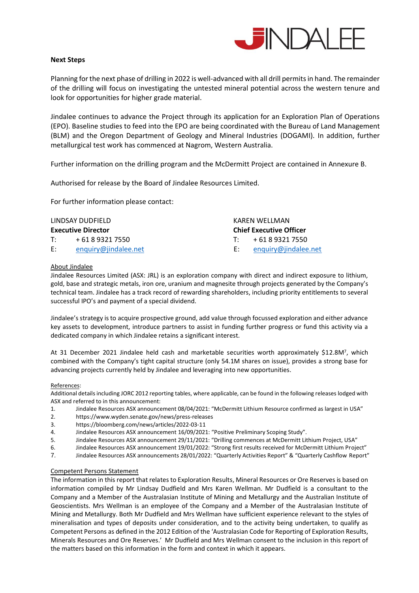

#### **Next Steps**

Planning for the next phase of drilling in 2022 is well-advanced with all drill permits in hand. The remainder of the drilling will focus on investigating the untested mineral potential across the western tenure and look for opportunities for higher grade material.

Jindalee continues to advance the Project through its application for an Exploration Plan of Operations (EPO). Baseline studies to feed into the EPO are being coordinated with the Bureau of Land Management (BLM) and the Oregon Department of Geology and Mineral Industries (DOGAMI). In addition, further metallurgical test work has commenced at Nagrom, Western Australia.

Further information on the drilling program and the McDermitt Project are contained in Annexure B.

Authorised for release by the Board of Jindalee Resources Limited.

For further information please contact:

|    | LINDSAY DUDFIELD          |    | KAREN WELLMAN                  |
|----|---------------------------|----|--------------------------------|
|    | <b>Executive Director</b> |    | <b>Chief Executive Officer</b> |
| T. | + 61 8 9321 7550          |    | $T: +61893217550$              |
| E: | enquiry@jindalee.net      | E: | enguiry@jindalee.net           |

#### About Jindalee

Jindalee Resources Limited (ASX: JRL) is an exploration company with direct and indirect exposure to lithium, gold, base and strategic metals, iron ore, uranium and magnesite through projects generated by the Company's technical team. Jindalee has a track record of rewarding shareholders, including priority entitlements to several successful IPO's and payment of a special dividend.

Jindalee's strategy is to acquire prospective ground, add value through focussed exploration and either advance key assets to development, introduce partners to assist in funding further progress or fund this activity via a dedicated company in which Jindalee retains a significant interest.

At 31 December 2021 Jindalee held cash and marketable securities worth approximately \$12.8M<sup>7</sup>, which combined with the Company's tight capital structure (only 54.1M shares on issue), provides a strong base for advancing projects currently held by Jindalee and leveraging into new opportunities.

#### References:

Additional details including JORC 2012 reporting tables, where applicable, can be found in the following releases lodged with ASX and referred to in this announcement:

- 1. Jindalee Resources ASX announcement 08/04/2021: "McDermitt Lithium Resource confirmed as largest in USA"
- 2. <https://www.wyden.senate.gov/news/press-releases>
- 3. <https://bloomberg.com/news/articles/2022-03-11>
- 4. Jindalee Resources ASX announcement 16/09/2021: "Positive Preliminary Scoping Study".
- 5. Jindalee Resources ASX announcement 29/11/2021: "Drilling commences at McDermitt Lithium Project, USA"
- 6. Jindalee Resources ASX announcement 19/01/2022: "Strong first results received for McDermitt Lithium Project"
- 7. Jindalee Resources ASX announcements 28/01/2022: "Quarterly Activities Report" & "Quarterly Cashflow Report"

#### Competent Persons Statement

The information in this report that relates to Exploration Results, Mineral Resources or Ore Reserves is based on information compiled by Mr Lindsay Dudfield and Mrs Karen Wellman. Mr Dudfield is a consultant to the Company and a Member of the Australasian Institute of Mining and Metallurgy and the Australian Institute of Geoscientists. Mrs Wellman is an employee of the Company and a Member of the Australasian Institute of Mining and Metallurgy. Both Mr Dudfield and Mrs Wellman have sufficient experience relevant to the styles of mineralisation and types of deposits under consideration, and to the activity being undertaken, to qualify as Competent Persons as defined in the 2012 Edition of the 'Australasian Code for Reporting of Exploration Results, Minerals Resources and Ore Reserves.' Mr Dudfield and Mrs Wellman consent to the inclusion in this report of the matters based on this information in the form and context in which it appears.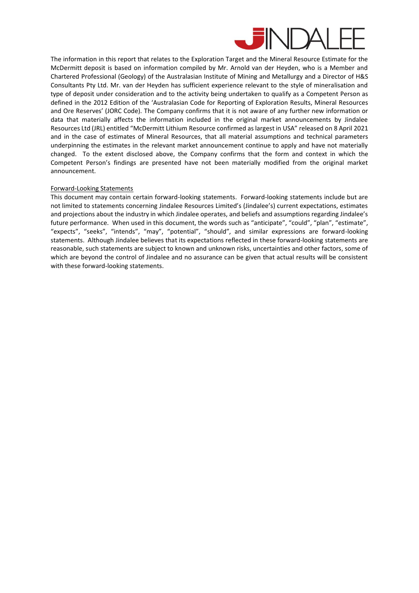

The information in this report that relates to the Exploration Target and the Mineral Resource Estimate for the McDermitt deposit is based on information compiled by Mr. Arnold van der Heyden, who is a Member and Chartered Professional (Geology) of the Australasian Institute of Mining and Metallurgy and a Director of H&S Consultants Pty Ltd. Mr. van der Heyden has sufficient experience relevant to the style of mineralisation and type of deposit under consideration and to the activity being undertaken to qualify as a Competent Person as defined in the 2012 Edition of the 'Australasian Code for Reporting of Exploration Results, Mineral Resources and Ore Reserves' (JORC Code). The Company confirms that it is not aware of any further new information or data that materially affects the information included in the original market announcements by Jindalee Resources Ltd (JRL) entitled "McDermitt Lithium Resource confirmed as largest in USA" released on 8 April 2021 and in the case of estimates of Mineral Resources, that all material assumptions and technical parameters underpinning the estimates in the relevant market announcement continue to apply and have not materially changed. To the extent disclosed above, the Company confirms that the form and context in which the Competent Person's findings are presented have not been materially modified from the original market announcement.

#### Forward-Looking Statements

This document may contain certain forward-looking statements. Forward-looking statements include but are not limited to statements concerning Jindalee Resources Limited's (Jindalee's) current expectations, estimates and projections about the industry in which Jindalee operates, and beliefs and assumptions regarding Jindalee's future performance. When used in this document, the words such as "anticipate", "could", "plan", "estimate", "expects", "seeks", "intends", "may", "potential", "should", and similar expressions are forward-looking statements. Although Jindalee believes that its expectations reflected in these forward-looking statements are reasonable, such statements are subject to known and unknown risks, uncertainties and other factors, some of which are beyond the control of Jindalee and no assurance can be given that actual results will be consistent with these forward-looking statements.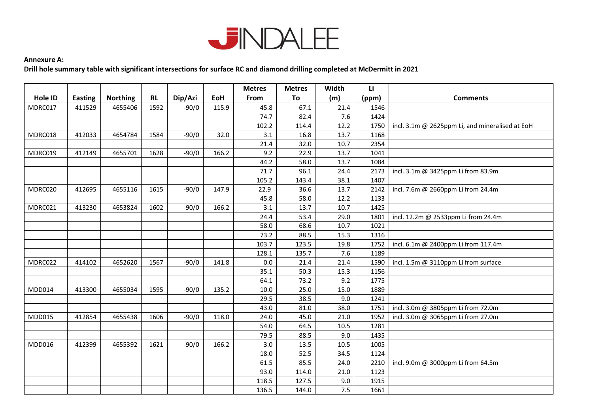

### **Annexure A:**

### **Drill hole summary table with significant intersections for surface RC and diamond drilling completed at McDermitt in 2021**

|               |                |                 |           |         |            | <b>Metres</b> | <b>Metres</b> | Width | Li    |                                                 |
|---------------|----------------|-----------------|-----------|---------|------------|---------------|---------------|-------|-------|-------------------------------------------------|
| Hole ID       | <b>Easting</b> | <b>Northing</b> | <b>RL</b> | Dip/Azi | <b>EoH</b> | From          | To            | (m)   | (ppm) | <b>Comments</b>                                 |
| MDRC017       | 411529         | 4655406         | 1592      | $-90/0$ | 115.9      | 45.8          | 67.1          | 21.4  | 1546  |                                                 |
|               |                |                 |           |         |            | 74.7          | 82.4          | 7.6   | 1424  |                                                 |
|               |                |                 |           |         |            | 102.2         | 114.4         | 12.2  | 1750  | incl. 3.1m @ 2625ppm Li, and mineralised at EoH |
| MDRC018       | 412033         | 4654784         | 1584      | $-90/0$ | 32.0       | 3.1           | 16.8          | 13.7  | 1168  |                                                 |
|               |                |                 |           |         |            | 21.4          | 32.0          | 10.7  | 2354  |                                                 |
| MDRC019       | 412149         | 4655701         | 1628      | $-90/0$ | 166.2      | 9.2           | 22.9          | 13.7  | 1041  |                                                 |
|               |                |                 |           |         |            | 44.2          | 58.0          | 13.7  | 1084  |                                                 |
|               |                |                 |           |         |            | 71.7          | 96.1          | 24.4  | 2173  | incl. 3.1m @ 3425ppm Li from 83.9m              |
|               |                |                 |           |         |            | 105.2         | 143.4         | 38.1  | 1407  |                                                 |
| MDRC020       | 412695         | 4655116         | 1615      | $-90/0$ | 147.9      | 22.9          | 36.6          | 13.7  | 2142  | incl. 7.6m @ 2660ppm Li from 24.4m              |
|               |                |                 |           |         |            | 45.8          | 58.0          | 12.2  | 1133  |                                                 |
| MDRC021       | 413230         | 4653824         | 1602      | $-90/0$ | 166.2      | 3.1           | 13.7          | 10.7  | 1425  |                                                 |
|               |                |                 |           |         |            | 24.4          | 53.4          | 29.0  | 1801  | incl. 12.2m @ 2533ppm Li from 24.4m             |
|               |                |                 |           |         |            | 58.0          | 68.6          | 10.7  | 1021  |                                                 |
|               |                |                 |           |         |            | 73.2          | 88.5          | 15.3  | 1316  |                                                 |
|               |                |                 |           |         |            | 103.7         | 123.5         | 19.8  | 1752  | incl. 6.1m @ 2400ppm Li from 117.4m             |
|               |                |                 |           |         |            | 128.1         | 135.7         | 7.6   | 1189  |                                                 |
| MDRC022       | 414102         | 4652620         | 1567      | $-90/0$ | 141.8      | 0.0           | 21.4          | 21.4  | 1590  | incl. 1.5m @ 3110ppm Li from surface            |
|               |                |                 |           |         |            | 35.1          | 50.3          | 15.3  | 1156  |                                                 |
|               |                |                 |           |         |            | 64.1          | 73.2          | 9.2   | 1775  |                                                 |
| MDD014        | 413300         | 4655034         | 1595      | $-90/0$ | 135.2      | 10.0          | 25.0          | 15.0  | 1889  |                                                 |
|               |                |                 |           |         |            | 29.5          | 38.5          | 9.0   | 1241  |                                                 |
|               |                |                 |           |         |            | 43.0          | 81.0          | 38.0  | 1751  | incl. 3.0m @ 3805ppm Li from 72.0m              |
| <b>MDD015</b> | 412854         | 4655438         | 1606      | $-90/0$ | 118.0      | 24.0          | 45.0          | 21.0  | 1952  | incl. 3.0m @ 3065ppm Li from 27.0m              |
|               |                |                 |           |         |            | 54.0          | 64.5          | 10.5  | 1281  |                                                 |
|               |                |                 |           |         |            | 79.5          | 88.5          | 9.0   | 1435  |                                                 |
| <b>MDD016</b> | 412399         | 4655392         | 1621      | $-90/0$ | 166.2      | 3.0           | 13.5          | 10.5  | 1005  |                                                 |
|               |                |                 |           |         |            | 18.0          | 52.5          | 34.5  | 1124  |                                                 |
|               |                |                 |           |         |            | 61.5          | 85.5          | 24.0  | 2210  | incl. 9.0m @ 3000ppm Li from 64.5m              |
|               |                |                 |           |         |            | 93.0          | 114.0         | 21.0  | 1123  |                                                 |
|               |                |                 |           |         |            | 118.5         | 127.5         | 9.0   | 1915  |                                                 |
|               |                |                 |           |         |            | 136.5         | 144.0         | 7.5   | 1661  |                                                 |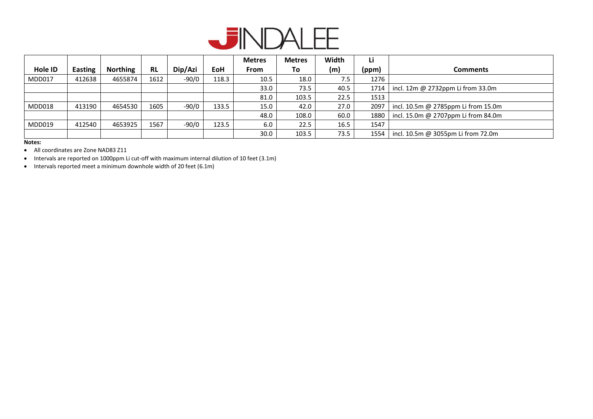

|                |                |                 |           |         |       | <b>Metres</b> | <b>Metres</b> | <b>Width</b> | Li    |                                     |
|----------------|----------------|-----------------|-----------|---------|-------|---------------|---------------|--------------|-------|-------------------------------------|
| <b>Hole ID</b> | <b>Easting</b> | <b>Northing</b> | <b>RL</b> | Dip/Azi | EoH   | <b>From</b>   | To            | (m)          | (ppm) | <b>Comments</b>                     |
| MDD017         | 412638         | 4655874         | 1612      | $-90/0$ | 118.3 | 10.5          | 18.0          | 7.5          | 1276  |                                     |
|                |                |                 |           |         |       | 33.0          | 73.5          | 40.5         | 1714  | incl. 12m @ 2732ppm Li from 33.0m   |
|                |                |                 |           |         |       | 81.0          | 103.5         | 22.5         | 1513  |                                     |
| MDD018         | 413190         | 4654530         | 1605      | $-90/0$ | 133.5 | 15.0          | 42.0          | 27.0         | 2097  | incl. 10.5m @ 2785ppm Li from 15.0m |
|                |                |                 |           |         |       | 48.0          | 108.0         | 60.0         | 1880  | incl. 15.0m @ 2707ppm Li from 84.0m |
| MDD019         | 412540         | 4653925         | 1567      | $-90/0$ | 123.5 | 6.0           | 22.5          | 16.5         | 1547  |                                     |
|                |                |                 |           |         |       | 30.0          | 103.5         | 73.5         | 1554  | incl. 10.5m @ 3055pm Li from 72.0m  |

**Notes:**

• All coordinates are Zone NAD83 Z11

• Intervals are reported on 1000ppm Li cut-off with maximum internal dilution of 10 feet (3.1m)

• Intervals reported meet a minimum downhole width of 20 feet (6.1m)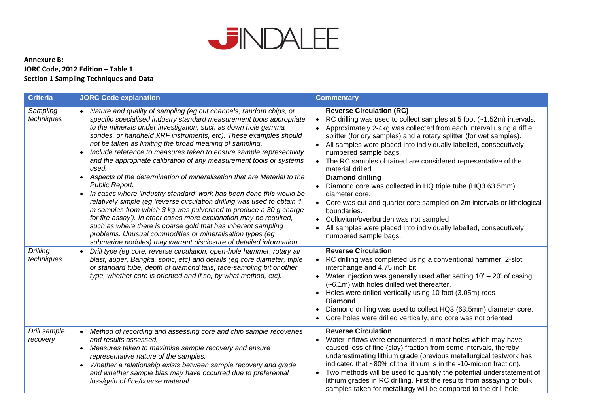

## **Annexure B: JORC Code, 2012 Edition – Table 1 Section 1 Sampling Techniques and Data**

| <b>Criteria</b>               | <b>JORC Code explanation</b>                                                                                                                                                                                                                                                                                                                                                                                                                                                                                                                                                                                                                                                                                                                                                                                                                                                                                                                                                                                                                                                                                | <b>Commentary</b>                                                                                                                                                                                                                                                                                                                                                                                                                                                                                                                                                                                                                                                                                                                                                                                  |
|-------------------------------|-------------------------------------------------------------------------------------------------------------------------------------------------------------------------------------------------------------------------------------------------------------------------------------------------------------------------------------------------------------------------------------------------------------------------------------------------------------------------------------------------------------------------------------------------------------------------------------------------------------------------------------------------------------------------------------------------------------------------------------------------------------------------------------------------------------------------------------------------------------------------------------------------------------------------------------------------------------------------------------------------------------------------------------------------------------------------------------------------------------|----------------------------------------------------------------------------------------------------------------------------------------------------------------------------------------------------------------------------------------------------------------------------------------------------------------------------------------------------------------------------------------------------------------------------------------------------------------------------------------------------------------------------------------------------------------------------------------------------------------------------------------------------------------------------------------------------------------------------------------------------------------------------------------------------|
| Sampling<br>techniques        | Nature and quality of sampling (eg cut channels, random chips, or<br>specific specialised industry standard measurement tools appropriate<br>to the minerals under investigation, such as down hole gamma<br>sondes, or handheld XRF instruments, etc). These examples should<br>not be taken as limiting the broad meaning of sampling.<br>Include reference to measures taken to ensure sample representivity<br>$\bullet$<br>and the appropriate calibration of any measurement tools or systems<br>used.<br>Aspects of the determination of mineralisation that are Material to the<br>Public Report.<br>In cases where 'industry standard' work has been done this would be<br>relatively simple (eg 'reverse circulation drilling was used to obtain 1<br>m samples from which 3 kg was pulverised to produce a 30 g charge<br>for fire assay'). In other cases more explanation may be required,<br>such as where there is coarse gold that has inherent sampling<br>problems. Unusual commodities or mineralisation types (eg<br>submarine nodules) may warrant disclosure of detailed information. | <b>Reverse Circulation (RC)</b><br>RC drilling was used to collect samples at 5 foot (~1.52m) intervals.<br>$\bullet$<br>Approximately 2-4kg was collected from each interval using a riffle<br>splitter (for dry samples) and a rotary splitter (for wet samples).<br>• All samples were placed into individually labelled, consecutively<br>numbered sample bags.<br>The RC samples obtained are considered representative of the<br>material drilled.<br><b>Diamond drilling</b><br>Diamond core was collected in HQ triple tube (HQ3 63.5mm)<br>diameter core.<br>• Core was cut and quarter core sampled on 2m intervals or lithological<br>boundaries.<br>Colluvium/overburden was not sampled<br>All samples were placed into individually labelled, consecutively<br>numbered sample bags. |
| <b>Drilling</b><br>techniques | Drill type (eg core, reverse circulation, open-hole hammer, rotary air<br>$\bullet$<br>blast, auger, Bangka, sonic, etc) and details (eg core diameter, triple<br>or standard tube, depth of diamond tails, face-sampling bit or other<br>type, whether core is oriented and if so, by what method, etc).                                                                                                                                                                                                                                                                                                                                                                                                                                                                                                                                                                                                                                                                                                                                                                                                   | <b>Reverse Circulation</b><br>• RC drilling was completed using a conventional hammer, 2-slot<br>interchange and 4.75 inch bit.<br>Water injection was generally used after setting $10' - 20'$ of casing<br>(~6.1m) with holes drilled wet thereafter.<br>Holes were drilled vertically using 10 foot (3.05m) rods<br><b>Diamond</b><br>Diamond drilling was used to collect HQ3 (63.5mm) diameter core.<br>Core holes were drilled vertically, and core was not oriented                                                                                                                                                                                                                                                                                                                         |
| Drill sample<br>recovery      | Method of recording and assessing core and chip sample recoveries<br>$\bullet$<br>and results assessed.<br>Measures taken to maximise sample recovery and ensure<br>$\bullet$<br>representative nature of the samples.<br>Whether a relationship exists between sample recovery and grade<br>$\bullet$<br>and whether sample bias may have occurred due to preferential<br>loss/gain of fine/coarse material.                                                                                                                                                                                                                                                                                                                                                                                                                                                                                                                                                                                                                                                                                               | <b>Reverse Circulation</b><br>Water inflows were encountered in most holes which may have<br>caused loss of fine (clay) fraction from some intervals, thereby<br>underestimating lithium grade (previous metallurgical testwork has<br>indicated that ~80% of the lithium is in the -10-micron fraction).<br>Two methods will be used to quantify the potential understatement of<br>lithium grades in RC drilling. First the results from assaying of bulk<br>samples taken for metallurgy will be compared to the drill hole                                                                                                                                                                                                                                                                     |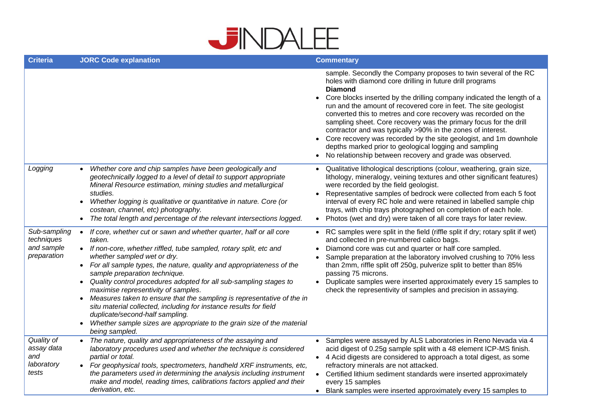

| <b>Criteria</b>                                         | <b>JORC Code explanation</b>                                                                                                                                                                                                                                                                                                                                                                                                                                                                                                                                                                                                                                                                                      | <b>Commentary</b>                                                                                                                                                                                                                                                                                                                                                                                                                                                                                                                                                                                                                                                                                          |
|---------------------------------------------------------|-------------------------------------------------------------------------------------------------------------------------------------------------------------------------------------------------------------------------------------------------------------------------------------------------------------------------------------------------------------------------------------------------------------------------------------------------------------------------------------------------------------------------------------------------------------------------------------------------------------------------------------------------------------------------------------------------------------------|------------------------------------------------------------------------------------------------------------------------------------------------------------------------------------------------------------------------------------------------------------------------------------------------------------------------------------------------------------------------------------------------------------------------------------------------------------------------------------------------------------------------------------------------------------------------------------------------------------------------------------------------------------------------------------------------------------|
|                                                         |                                                                                                                                                                                                                                                                                                                                                                                                                                                                                                                                                                                                                                                                                                                   | sample. Secondly the Company proposes to twin several of the RC<br>holes with diamond core drilling in future drill programs<br><b>Diamond</b><br>Core blocks inserted by the drilling company indicated the length of a<br>run and the amount of recovered core in feet. The site geologist<br>converted this to metres and core recovery was recorded on the<br>sampling sheet. Core recovery was the primary focus for the drill<br>contractor and was typically >90% in the zones of interest.<br>Core recovery was recorded by the site geologist, and 1m downhole<br>depths marked prior to geological logging and sampling<br>No relationship between recovery and grade was observed.<br>$\bullet$ |
| Logging                                                 | Whether core and chip samples have been geologically and<br>geotechnically logged to a level of detail to support appropriate<br>Mineral Resource estimation, mining studies and metallurgical<br>studies.<br>Whether logging is qualitative or quantitative in nature. Core (or<br>costean, channel, etc) photography.<br>The total length and percentage of the relevant intersections logged.                                                                                                                                                                                                                                                                                                                  | Qualitative lithological descriptions (colour, weathering, grain size,<br>lithology, mineralogy, veining textures and other significant features)<br>were recorded by the field geologist.<br>Representative samples of bedrock were collected from each 5 foot<br>interval of every RC hole and were retained in labelled sample chip<br>trays, with chip trays photographed on completion of each hole.<br>Photos (wet and dry) were taken of all core trays for later review.                                                                                                                                                                                                                           |
| Sub-sampling<br>techniques<br>and sample<br>preparation | If core, whether cut or sawn and whether quarter, half or all core<br>$\bullet$<br>taken.<br>• If non-core, whether riffled, tube sampled, rotary split, etc and<br>whether sampled wet or dry.<br>• For all sample types, the nature, quality and appropriateness of the<br>sample preparation technique.<br>Quality control procedures adopted for all sub-sampling stages to<br>maximise representivity of samples.<br>Measures taken to ensure that the sampling is representative of the in<br>$\bullet$<br>situ material collected, including for instance results for field<br>duplicate/second-half sampling.<br>Whether sample sizes are appropriate to the grain size of the material<br>being sampled. | RC samples were split in the field (riffle split if dry; rotary split if wet)<br>and collected in pre-numbered calico bags.<br>Diamond core was cut and quarter or half core sampled.<br>Sample preparation at the laboratory involved crushing to 70% less<br>than 2mm, riffle split off 250g, pulverize split to better than 85%<br>passing 75 microns.<br>Duplicate samples were inserted approximately every 15 samples to<br>check the representivity of samples and precision in assaying.                                                                                                                                                                                                           |
| Quality of<br>assay data<br>and<br>laboratory<br>tests  | The nature, quality and appropriateness of the assaying and<br>laboratory procedures used and whether the technique is considered<br>partial or total.<br>• For geophysical tools, spectrometers, handheld XRF instruments, etc,<br>the parameters used in determining the analysis including instrument<br>make and model, reading times, calibrations factors applied and their<br>derivation, etc.                                                                                                                                                                                                                                                                                                             | Samples were assayed by ALS Laboratories in Reno Nevada via 4<br>acid digest of 0.25g sample split with a 48 element ICP-MS finish.<br>• 4 Acid digests are considered to approach a total digest, as some<br>refractory minerals are not attacked.<br>Certified lithium sediment standards were inserted approximately<br>every 15 samples<br>• Blank samples were inserted approximately every 15 samples to                                                                                                                                                                                                                                                                                             |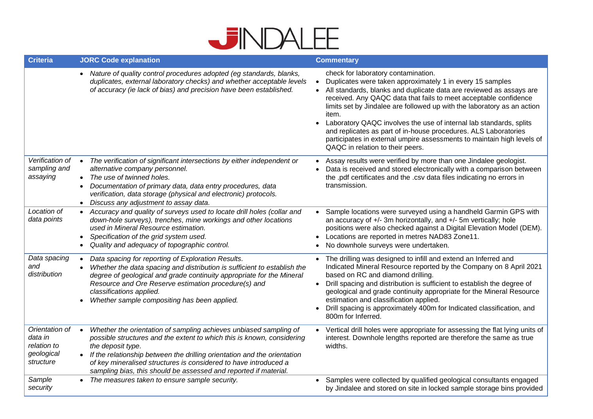

| <b>Criteria</b>                                                     | <b>JORC Code explanation</b>                                                                                                                                                                                                                                                                                                                                                           | <b>Commentary</b>                                                                                                                                                                                                                                                                                                                                                                                                                                                                                                                                                                      |  |  |  |
|---------------------------------------------------------------------|----------------------------------------------------------------------------------------------------------------------------------------------------------------------------------------------------------------------------------------------------------------------------------------------------------------------------------------------------------------------------------------|----------------------------------------------------------------------------------------------------------------------------------------------------------------------------------------------------------------------------------------------------------------------------------------------------------------------------------------------------------------------------------------------------------------------------------------------------------------------------------------------------------------------------------------------------------------------------------------|--|--|--|
|                                                                     | • Nature of quality control procedures adopted (eg standards, blanks,<br>duplicates, external laboratory checks) and whether acceptable levels<br>of accuracy (ie lack of bias) and precision have been established.                                                                                                                                                                   | check for laboratory contamination.<br>Duplicates were taken approximately 1 in every 15 samples<br>All standards, blanks and duplicate data are reviewed as assays are<br>received. Any QAQC data that fails to meet acceptable confidence<br>limits set by Jindalee are followed up with the laboratory as an action<br>item.<br>Laboratory QAQC involves the use of internal lab standards, splits<br>and replicates as part of in-house procedures. ALS Laboratories<br>participates in external umpire assessments to maintain high levels of<br>QAQC in relation to their peers. |  |  |  |
| Verification of<br>sampling and<br>assaying                         | The verification of significant intersections by either independent or<br>$\bullet$<br>alternative company personnel.<br>The use of twinned holes.<br>Documentation of primary data, data entry procedures, data<br>verification, data storage (physical and electronic) protocols.<br>• Discuss any adjustment to assay data.                                                         | Assay results were verified by more than one Jindalee geologist.<br>Data is received and stored electronically with a comparison between<br>the .pdf certificates and the .csv data files indicating no errors in<br>transmission.                                                                                                                                                                                                                                                                                                                                                     |  |  |  |
| Location of<br>data points                                          | • Accuracy and quality of surveys used to locate drill holes (collar and<br>down-hole surveys), trenches, mine workings and other locations<br>used in Mineral Resource estimation.<br>Specification of the grid system used.<br>Quality and adequacy of topographic control.                                                                                                          | Sample locations were surveyed using a handheld Garmin GPS with<br>an accuracy of $+/-$ 3m horizontally, and $+/-$ 5m vertically; hole<br>positions were also checked against a Digital Elevation Model (DEM).<br>Locations are reported in metres NAD83 Zone11.<br>No downhole surveys were undertaken.                                                                                                                                                                                                                                                                               |  |  |  |
| Data spacing<br>and<br>distribution                                 | Data spacing for reporting of Exploration Results.<br>Whether the data spacing and distribution is sufficient to establish the<br>degree of geological and grade continuity appropriate for the Mineral<br>Resource and Ore Reserve estimation procedure(s) and<br>classifications applied.<br>Whether sample compositing has been applied.                                            | The drilling was designed to infill and extend an Inferred and<br>Indicated Mineral Resource reported by the Company on 8 April 2021<br>based on RC and diamond drilling.<br>Drill spacing and distribution is sufficient to establish the degree of<br>geological and grade continuity appropriate for the Mineral Resource<br>estimation and classification applied.<br>Drill spacing is approximately 400m for Indicated classification, and<br>800m for Inferred.                                                                                                                  |  |  |  |
| Orientation of<br>data in<br>relation to<br>geological<br>structure | Whether the orientation of sampling achieves unbiased sampling of<br>possible structures and the extent to which this is known, considering<br>the deposit type.<br>• If the relationship between the drilling orientation and the orientation<br>of key mineralised structures is considered to have introduced a<br>sampling bias, this should be assessed and reported if material. | Vertical drill holes were appropriate for assessing the flat lying units of<br>interest. Downhole lengths reported are therefore the same as true<br>widths.                                                                                                                                                                                                                                                                                                                                                                                                                           |  |  |  |
| Sample<br>security                                                  | The measures taken to ensure sample security.                                                                                                                                                                                                                                                                                                                                          | Samples were collected by qualified geological consultants engaged<br>by Jindalee and stored on site in locked sample storage bins provided                                                                                                                                                                                                                                                                                                                                                                                                                                            |  |  |  |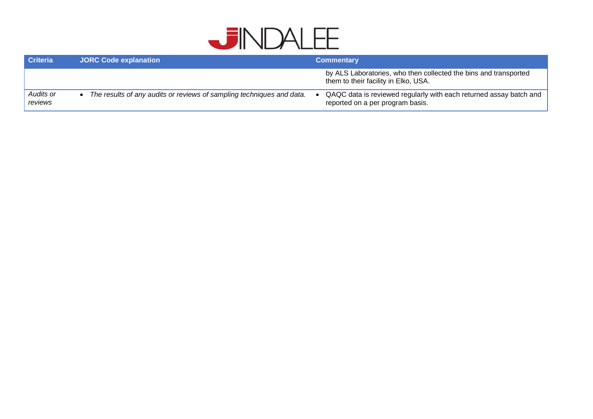

| <b>Criteria</b>      | <b>JORC Code explanation</b>                                          | <b>Commentary</b>                                                                                        |  |  |
|----------------------|-----------------------------------------------------------------------|----------------------------------------------------------------------------------------------------------|--|--|
|                      |                                                                       | by ALS Laboratories, who then collected the bins and transported<br>them to their facility in Elko, USA. |  |  |
| Audits or<br>reviews | The results of any audits or reviews of sampling techniques and data. | QAQC data is reviewed regularly with each returned assay batch and<br>reported on a per program basis.   |  |  |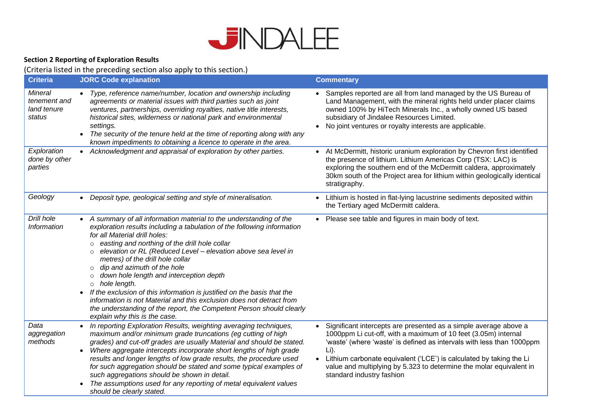

## **Section 2 Reporting of Exploration Results**

# (Criteria listed in the preceding section also apply to this section.)

| <b>Criteria</b>                                         | <b>JORC Code explanation</b>                                                                                                                                                                                                                                                                                                                                                                                                                                                                                                                                                                                                                                                                                                  | <b>Commentary</b>                                                                                                                                                                                                                                                                                                                                                                                                           |
|---------------------------------------------------------|-------------------------------------------------------------------------------------------------------------------------------------------------------------------------------------------------------------------------------------------------------------------------------------------------------------------------------------------------------------------------------------------------------------------------------------------------------------------------------------------------------------------------------------------------------------------------------------------------------------------------------------------------------------------------------------------------------------------------------|-----------------------------------------------------------------------------------------------------------------------------------------------------------------------------------------------------------------------------------------------------------------------------------------------------------------------------------------------------------------------------------------------------------------------------|
| <b>Mineral</b><br>tenement and<br>land tenure<br>status | Type, reference name/number, location and ownership including<br>agreements or material issues with third parties such as joint<br>ventures, partnerships, overriding royalties, native title interests,<br>historical sites, wilderness or national park and environmental<br>settings.<br>The security of the tenure held at the time of reporting along with any<br>known impediments to obtaining a licence to operate in the area.                                                                                                                                                                                                                                                                                       | • Samples reported are all from land managed by the US Bureau of<br>Land Management, with the mineral rights held under placer claims<br>owned 100% by HiTech Minerals Inc., a wholly owned US based<br>subsidiary of Jindalee Resources Limited.<br>No joint ventures or royalty interests are applicable.                                                                                                                 |
| Exploration<br>done by other<br>parties                 | Acknowledgment and appraisal of exploration by other parties.<br>$\bullet$                                                                                                                                                                                                                                                                                                                                                                                                                                                                                                                                                                                                                                                    | • At McDermitt, historic uranium exploration by Chevron first identified<br>the presence of lithium. Lithium Americas Corp (TSX: LAC) is<br>exploring the southern end of the McDermitt caldera, approximately<br>30km south of the Project area for lithium within geologically identical<br>stratigraphy.                                                                                                                 |
| Geology                                                 | Deposit type, geological setting and style of mineralisation.<br>$\bullet$                                                                                                                                                                                                                                                                                                                                                                                                                                                                                                                                                                                                                                                    | Lithium is hosted in flat-lying lacustrine sediments deposited within<br>$\bullet$<br>the Tertiary aged McDermitt caldera.                                                                                                                                                                                                                                                                                                  |
| Drill hole<br>Information                               | • A summary of all information material to the understanding of the<br>exploration results including a tabulation of the following information<br>for all Material drill holes:<br>easting and northing of the drill hole collar<br>$\circ$<br>elevation or RL (Reduced Level - elevation above sea level in<br>metres) of the drill hole collar<br>dip and azimuth of the hole<br>down hole length and interception depth<br>$\Omega$<br>hole length.<br>$\circ$<br>If the exclusion of this information is justified on the basis that the<br>information is not Material and this exclusion does not detract from<br>the understanding of the report, the Competent Person should clearly<br>explain why this is the case. | • Please see table and figures in main body of text.                                                                                                                                                                                                                                                                                                                                                                        |
| Data<br>aggregation<br>methods                          | In reporting Exploration Results, weighting averaging techniques,<br>maximum and/or minimum grade truncations (eg cutting of high<br>grades) and cut-off grades are usually Material and should be stated.<br>Where aggregate intercepts incorporate short lengths of high grade<br>$\bullet$<br>results and longer lengths of low grade results, the procedure used<br>for such aggregation should be stated and some typical examples of<br>such aggregations should be shown in detail.<br>The assumptions used for any reporting of metal equivalent values<br>$\bullet$<br>should be clearly stated.                                                                                                                     | Significant intercepts are presented as a simple average above a<br>$\bullet$<br>1000ppm Li cut-off, with a maximum of 10 feet (3.05m) internal<br>'waste' (where 'waste' is defined as intervals with less than 1000ppm<br>$Li$ ).<br>Lithium carbonate equivalent ('LCE') is calculated by taking the Li<br>$\bullet$<br>value and multiplying by 5.323 to determine the molar equivalent in<br>standard industry fashion |